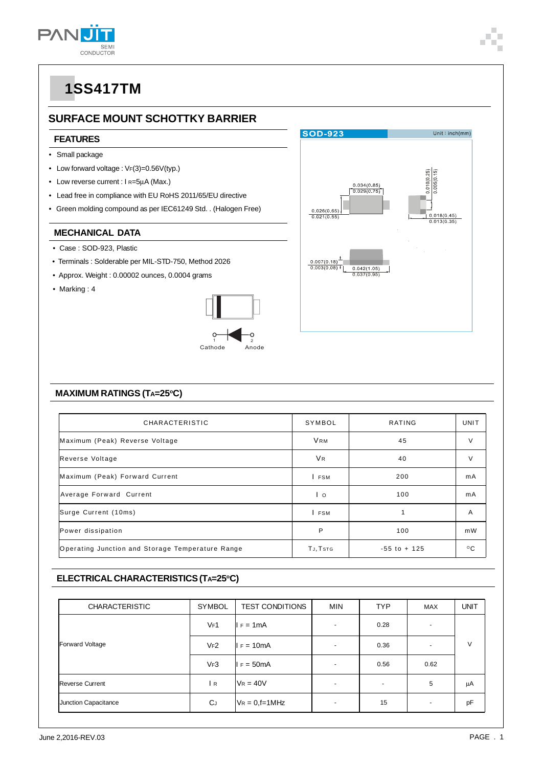

### **SURFACE MOUNT SCHOTTKY BARRIER**

#### **FEATURES**

- Small package
- Low forward voltage :  $V_F(3)=0.56V(typ.)$
- Low reverse current : I R=5μA (Max.)
- Lead free in compliance with EU RoHS 2011/65/EU directive
- Green molding compound as per IEC61249 Std. . (Halogen Free)

#### **MECHANICAL DATA**

- Case : SOD-923, Plastic
- Terminals : Solderable per MIL-STD-750, Method 2026
- Approx. Weight : 0.00002 ounces, 0.0004 grams
- Marking : 4



### **MAXIMUM RATINGS (TA=25°C)**

| CHARACTERISTIC                                   | SYMBOL         | RATING          | <b>UNIT</b>  |
|--------------------------------------------------|----------------|-----------------|--------------|
| Maximum (Peak) Reverse Voltage                   | <b>VRM</b>     | 45              | V            |
| Reverse Voltage                                  | V <sub>R</sub> | 40              | V            |
| Maximum (Peak) Forward Current                   | <b>FSM</b>     | 200             | mA           |
| Average Forward Current                          | Ιo             | 100             | mA           |
| Surge Current (10ms)                             | <b>FSM</b>     | 1               | A            |
| Power dissipation                                | P              | 100             | mW           |
| Operating Junction and Storage Temperature Range | TJ, TSTG       | $-55$ to $+125$ | $^{\circ}$ C |

**SOD-923** 

 $\frac{0.026(0.65)}{0.021(0.55)}$ 

 $\frac{0.007(0.18)^{\frac{1}{2}}}{0.003(0.08)^{\frac{1}{2}}}$ 

 $\frac{0.034(0.85)}{0.029(0.75)}$ 

 $\frac{0.042(1.05)}{0.037(0.95)}$ 

Unit: $inch(mm)$ 

 $0.018(0.45)$  $0.013(0.35)$ 

### **ELECTRICAL CHARACTERISTICS (TA=25°C)**

| <b>CHARACTERISTIC</b>  | <b>SYMBOL</b> | <b>TEST CONDITIONS</b> | <b>MIN</b>     | <b>TYP</b>     | <b>MAX</b>               | <b>UNIT</b> |
|------------------------|---------------|------------------------|----------------|----------------|--------------------------|-------------|
| Forward Voltage        | VF1           | $I = 1mA$              |                | 0.28           | $\overline{\phantom{a}}$ | $\vee$      |
|                        | VF2           | $I = 10mA$             | $\overline{a}$ | 0.36           | $\overline{a}$           |             |
|                        | VF3           | $I = 50mA$             |                | 0.56           | 0.62                     |             |
| <b>Reverse Current</b> | l R           | $V_R = 40V$            |                | $\blacksquare$ | 5                        | μA          |
| Junction Capacitance   | <b>C</b> J    | $V_R = 0$ , f=1MHz     |                | 15             | ٠                        | pF          |

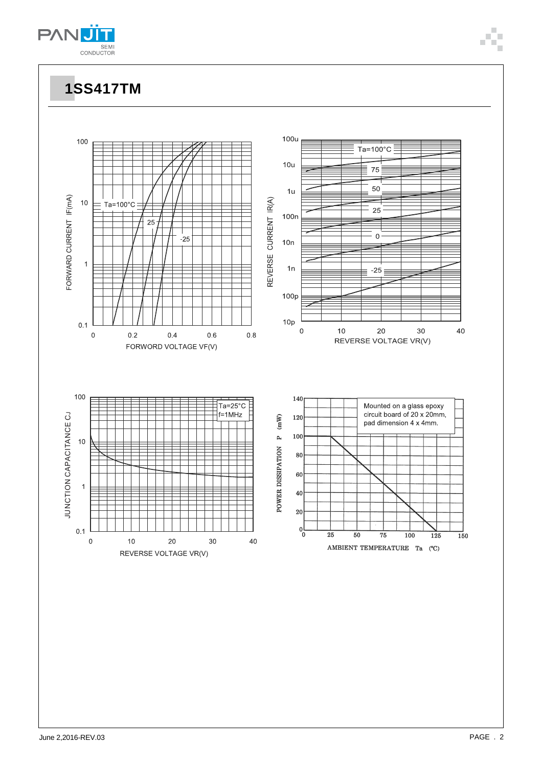

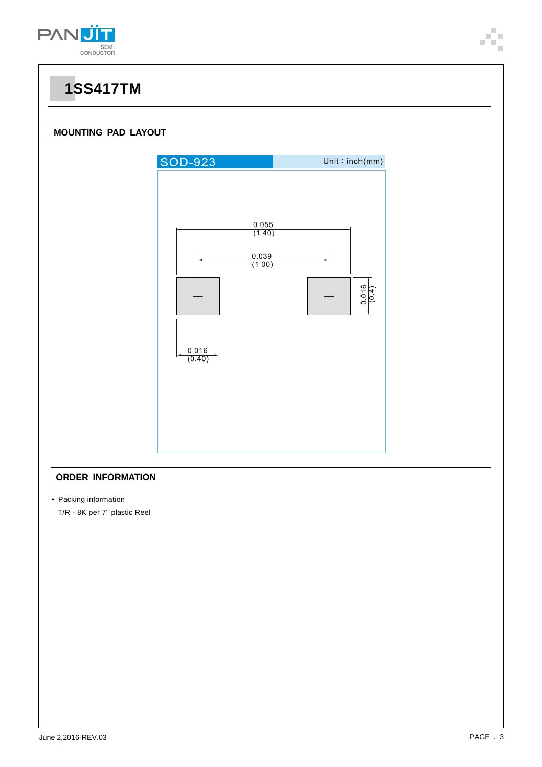

### **MOUNTING PAD LAYOUT**



#### **ORDER INFORMATION**

• Packing information

T/R - 8K per 7" plastic Reel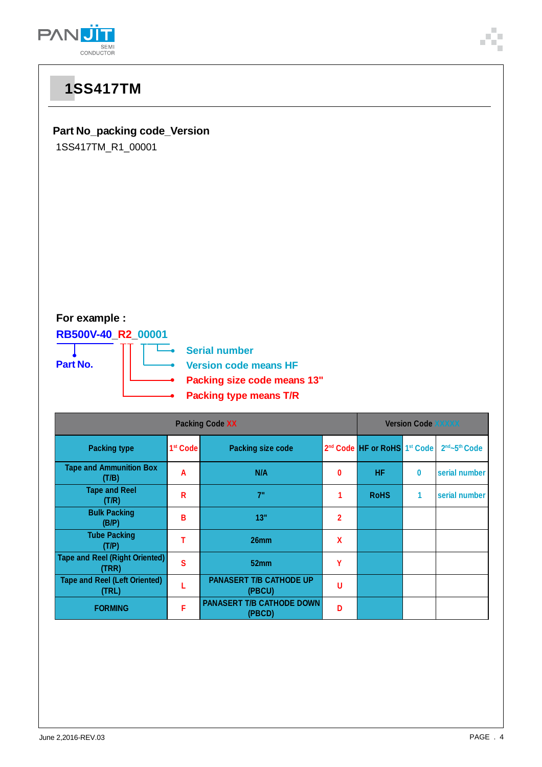



**(T/P) <sup>T</sup> 26mm <sup>X</sup>**

**(TRR) <sup>S</sup> 52mm <sup>Y</sup>**

**(PBCU) <sup>U</sup>**

**(PBCD) <sup>D</sup>**

**(TRL) <sup>L</sup> PANASERT T/B CATHODE UP**

**F PANASERT T/B CATHODE DOWN** 

**Tube Packing**

**Tape and Reel (Right Oriented)**

**Tape and Reel (Left Oriented)**